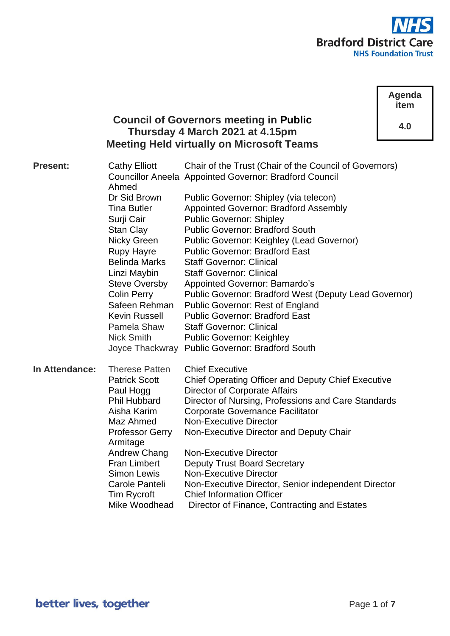

**Agenda item**

**4.0**

# **Council of Governors meeting in Public Thursday 4 March 2021 at 4.15pm Meeting Held virtually on Microsoft Teams**

| <b>Present:</b> | <b>Cathy Elliott</b><br>Ahmed      | Chair of the Trust (Chair of the Council of Governors)<br><b>Councillor Aneela Appointed Governor: Bradford Council</b> |
|-----------------|------------------------------------|-------------------------------------------------------------------------------------------------------------------------|
|                 | Dr Sid Brown                       | Public Governor: Shipley (via telecon)                                                                                  |
|                 | <b>Tina Butler</b>                 | <b>Appointed Governor: Bradford Assembly</b>                                                                            |
|                 | Surji Cair                         | <b>Public Governor: Shipley</b>                                                                                         |
|                 | <b>Stan Clay</b>                   | <b>Public Governor: Bradford South</b>                                                                                  |
|                 | <b>Nicky Green</b>                 | <b>Public Governor: Keighley (Lead Governor)</b>                                                                        |
|                 | <b>Rupy Hayre</b>                  | <b>Public Governor: Bradford East</b>                                                                                   |
|                 | <b>Belinda Marks</b>               | <b>Staff Governor: Clinical</b>                                                                                         |
|                 | Linzi Maybin                       | <b>Staff Governor: Clinical</b>                                                                                         |
|                 | <b>Steve Oversby</b>               | <b>Appointed Governor: Barnardo's</b>                                                                                   |
|                 | <b>Colin Perry</b>                 | Public Governor: Bradford West (Deputy Lead Governor)                                                                   |
|                 | Safeen Rehman                      | <b>Public Governor: Rest of England</b>                                                                                 |
|                 | <b>Kevin Russell</b>               | <b>Public Governor: Bradford East</b>                                                                                   |
|                 | Pamela Shaw                        | <b>Staff Governor: Clinical</b>                                                                                         |
|                 | <b>Nick Smith</b>                  | <b>Public Governor: Keighley</b>                                                                                        |
|                 |                                    | Joyce Thackwray Public Governor: Bradford South                                                                         |
| In Attendance:  | <b>Therese Patten</b>              | <b>Chief Executive</b>                                                                                                  |
|                 | <b>Patrick Scott</b><br>Paul Hogg  | Chief Operating Officer and Deputy Chief Executive<br><b>Director of Corporate Affairs</b>                              |
|                 | <b>Phil Hubbard</b><br>Aisha Karim | Director of Nursing, Professions and Care Standards<br><b>Corporate Governance Facilitator</b>                          |
|                 | Maz Ahmed                          | <b>Non-Executive Director</b>                                                                                           |
|                 | <b>Professor Gerry</b>             | Non-Executive Director and Deputy Chair                                                                                 |
|                 | Armitage                           |                                                                                                                         |
|                 | Andrew Chang                       | <b>Non-Executive Director</b>                                                                                           |
|                 | <b>Fran Limbert</b>                | <b>Deputy Trust Board Secretary</b>                                                                                     |
|                 | <b>Simon Lewis</b>                 | <b>Non-Executive Director</b>                                                                                           |
|                 | Carole Panteli                     | Non-Executive Director, Senior independent Director                                                                     |
|                 | <b>Tim Rycroft</b>                 | <b>Chief Information Officer</b>                                                                                        |
|                 | Mike Woodhead                      | Director of Finance, Contracting and Estates                                                                            |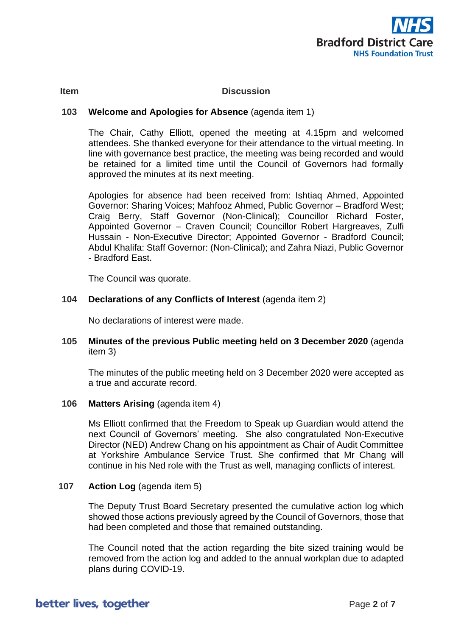

#### **Item Discussion**

#### **103 Welcome and Apologies for Absence** (agenda item 1)

The Chair, Cathy Elliott, opened the meeting at 4.15pm and welcomed attendees. She thanked everyone for their attendance to the virtual meeting. In line with governance best practice, the meeting was being recorded and would be retained for a limited time until the Council of Governors had formally approved the minutes at its next meeting.

Apologies for absence had been received from: Ishtiaq Ahmed, Appointed Governor: Sharing Voices; Mahfooz Ahmed, Public Governor – Bradford West; Craig Berry, Staff Governor (Non-Clinical); Councillor Richard Foster, Appointed Governor – Craven Council; Councillor Robert Hargreaves, Zulfi Hussain - Non-Executive Director; Appointed Governor - Bradford Council; Abdul Khalifa: Staff Governor: (Non-Clinical); and Zahra Niazi, Public Governor - Bradford East.

The Council was quorate.

#### **104 Declarations of any Conflicts of Interest** (agenda item 2)

No declarations of interest were made.

# **105 Minutes of the previous Public meeting held on 3 December 2020** (agenda item 3)

The minutes of the public meeting held on 3 December 2020 were accepted as a true and accurate record.

#### **106 Matters Arising** (agenda item 4)

Ms Elliott confirmed that the Freedom to Speak up Guardian would attend the next Council of Governors' meeting. She also congratulated Non-Executive Director (NED) Andrew Chang on his appointment as Chair of Audit Committee at Yorkshire Ambulance Service Trust. She confirmed that Mr Chang will continue in his Ned role with the Trust as well, managing conflicts of interest.

#### **107 Action Log** (agenda item 5)

The Deputy Trust Board Secretary presented the cumulative action log which showed those actions previously agreed by the Council of Governors, those that had been completed and those that remained outstanding.

The Council noted that the action regarding the bite sized training would be removed from the action log and added to the annual workplan due to adapted plans during COVID-19.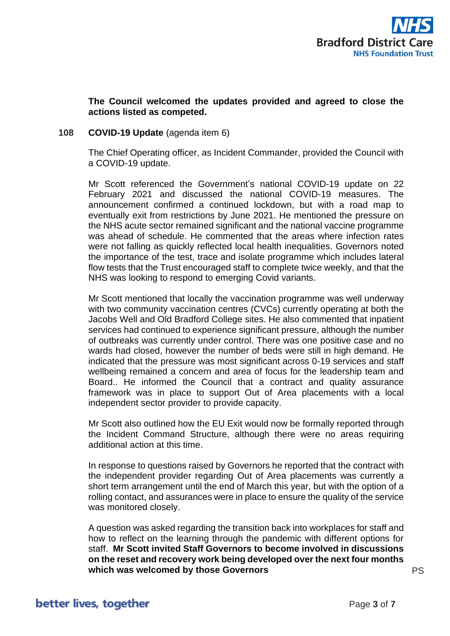

# **The Council welcomed the updates provided and agreed to close the actions listed as competed.**

# **108 COVID-19 Update** (agenda item 6)

The Chief Operating officer, as Incident Commander, provided the Council with a COVID-19 update.

Mr Scott referenced the Government's national COVID-19 update on 22 February 2021 and discussed the national COVID-19 measures. The announcement confirmed a continued lockdown, but with a road map to eventually exit from restrictions by June 2021. He mentioned the pressure on the NHS acute sector remained significant and the national vaccine programme was ahead of schedule. He commented that the areas where infection rates were not falling as quickly reflected local health inequalities. Governors noted the importance of the test, trace and isolate programme which includes lateral flow tests that the Trust encouraged staff to complete twice weekly, and that the NHS was looking to respond to emerging Covid variants.

Mr Scott mentioned that locally the vaccination programme was well underway with two community vaccination centres (CVCs) currently operating at both the Jacobs Well and Old Bradford College sites. He also commented that inpatient services had continued to experience significant pressure, although the number of outbreaks was currently under control. There was one positive case and no wards had closed, however the number of beds were still in high demand. He indicated that the pressure was most significant across 0-19 services and staff wellbeing remained a concern and area of focus for the leadership team and Board.. He informed the Council that a contract and quality assurance framework was in place to support Out of Area placements with a local independent sector provider to provide capacity.

Mr Scott also outlined how the EU Exit would now be formally reported through the Incident Command Structure, although there were no areas requiring additional action at this time.

In response to questions raised by Governors he reported that the contract with the independent provider regarding Out of Area placements was currently a short term arrangement until the end of March this year, but with the option of a rolling contact, and assurances were in place to ensure the quality of the service was monitored closely.

A question was asked regarding the transition back into workplaces for staff and how to reflect on the learning through the pandemic with different options for staff. **Mr Scott invited Staff Governors to become involved in discussions on the reset and recovery work being developed over the next four months which was welcomed by those Governors PS**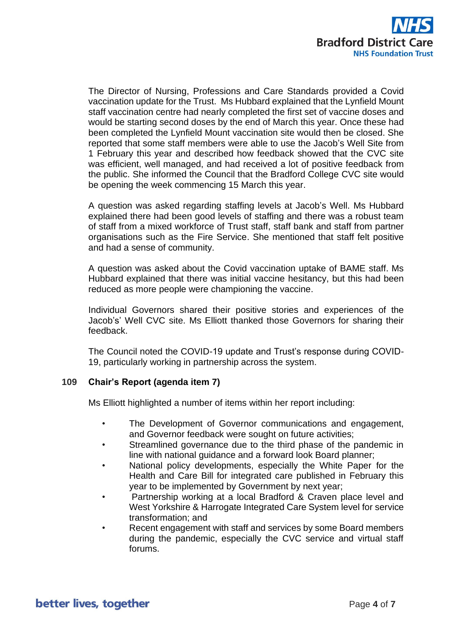

The Director of Nursing, Professions and Care Standards provided a Covid vaccination update for the Trust. Ms Hubbard explained that the Lynfield Mount staff vaccination centre had nearly completed the first set of vaccine doses and would be starting second doses by the end of March this year. Once these had been completed the Lynfield Mount vaccination site would then be closed. She reported that some staff members were able to use the Jacob's Well Site from 1 February this year and described how feedback showed that the CVC site was efficient, well managed, and had received a lot of positive feedback from the public. She informed the Council that the Bradford College CVC site would be opening the week commencing 15 March this year.

A question was asked regarding staffing levels at Jacob's Well. Ms Hubbard explained there had been good levels of staffing and there was a robust team of staff from a mixed workforce of Trust staff, staff bank and staff from partner organisations such as the Fire Service. She mentioned that staff felt positive and had a sense of community.

A question was asked about the Covid vaccination uptake of BAME staff. Ms Hubbard explained that there was initial vaccine hesitancy, but this had been reduced as more people were championing the vaccine.

Individual Governors shared their positive stories and experiences of the Jacob's' Well CVC site. Ms Elliott thanked those Governors for sharing their feedback.

The Council noted the COVID-19 update and Trust's response during COVID-19, particularly working in partnership across the system.

#### **109 Chair's Report (agenda item 7)**

Ms Elliott highlighted a number of items within her report including:

- The Development of Governor communications and engagement, and Governor feedback were sought on future activities;
- Streamlined governance due to the third phase of the pandemic in line with national guidance and a forward look Board planner;
- National policy developments, especially the White Paper for the Health and Care Bill for integrated care published in February this year to be implemented by Government by next year;
- Partnership working at a local Bradford & Craven place level and West Yorkshire & Harrogate Integrated Care System level for service transformation; and
- Recent engagement with staff and services by some Board members during the pandemic, especially the CVC service and virtual staff forums.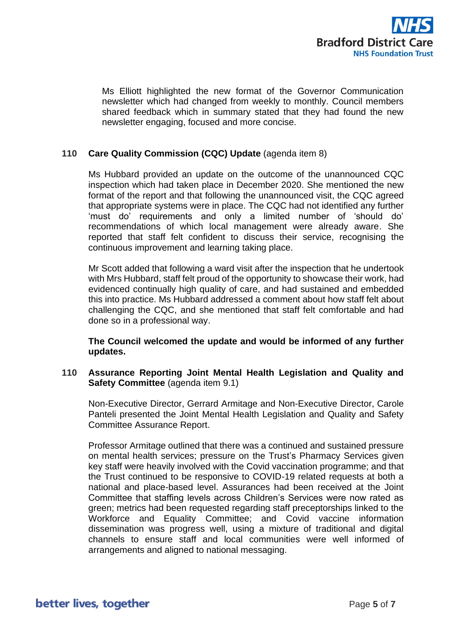

Ms Elliott highlighted the new format of the Governor Communication newsletter which had changed from weekly to monthly. Council members shared feedback which in summary stated that they had found the new newsletter engaging, focused and more concise.

# **110 Care Quality Commission (CQC) Update** (agenda item 8)

Ms Hubbard provided an update on the outcome of the unannounced CQC inspection which had taken place in December 2020. She mentioned the new format of the report and that following the unannounced visit, the CQC agreed that appropriate systems were in place. The CQC had not identified any further 'must do' requirements and only a limited number of 'should do' recommendations of which local management were already aware. She reported that staff felt confident to discuss their service, recognising the continuous improvement and learning taking place.

Mr Scott added that following a ward visit after the inspection that he undertook with Mrs Hubbard, staff felt proud of the opportunity to showcase their work, had evidenced continually high quality of care, and had sustained and embedded this into practice. Ms Hubbard addressed a comment about how staff felt about challenging the CQC, and she mentioned that staff felt comfortable and had done so in a professional way.

**The Council welcomed the update and would be informed of any further updates.**

# **110 Assurance Reporting Joint Mental Health Legislation and Quality and Safety Committee** (agenda item 9.1)

Non-Executive Director, Gerrard Armitage and Non-Executive Director, Carole Panteli presented the Joint Mental Health Legislation and Quality and Safety Committee Assurance Report.

Professor Armitage outlined that there was a continued and sustained pressure on mental health services; pressure on the Trust's Pharmacy Services given key staff were heavily involved with the Covid vaccination programme; and that the Trust continued to be responsive to COVID-19 related requests at both a national and place-based level. Assurances had been received at the Joint Committee that staffing levels across Children's Services were now rated as green; metrics had been requested regarding staff preceptorships linked to the Workforce and Equality Committee; and Covid vaccine information dissemination was progress well, using a mixture of traditional and digital channels to ensure staff and local communities were well informed of arrangements and aligned to national messaging.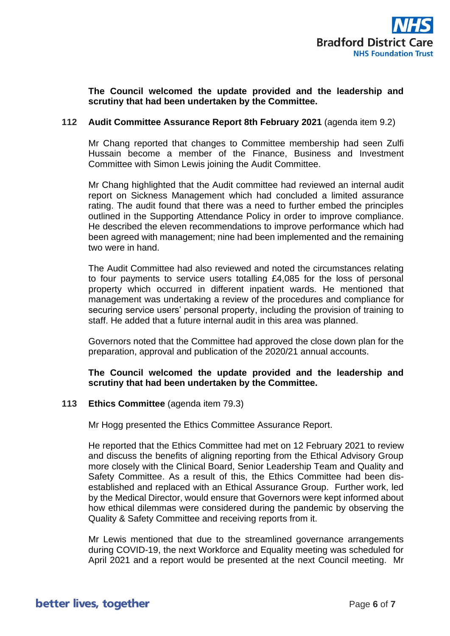

# **The Council welcomed the update provided and the leadership and scrutiny that had been undertaken by the Committee.**

# **112 Audit Committee Assurance Report 8th February 2021** (agenda item 9.2)

Mr Chang reported that changes to Committee membership had seen Zulfi Hussain become a member of the Finance, Business and Investment Committee with Simon Lewis joining the Audit Committee.

Mr Chang highlighted that the Audit committee had reviewed an internal audit report on Sickness Management which had concluded a limited assurance rating. The audit found that there was a need to further embed the principles outlined in the Supporting Attendance Policy in order to improve compliance. He described the eleven recommendations to improve performance which had been agreed with management; nine had been implemented and the remaining two were in hand.

The Audit Committee had also reviewed and noted the circumstances relating to four payments to service users totalling £4,085 for the loss of personal property which occurred in different inpatient wards. He mentioned that management was undertaking a review of the procedures and compliance for securing service users' personal property, including the provision of training to staff. He added that a future internal audit in this area was planned.

Governors noted that the Committee had approved the close down plan for the preparation, approval and publication of the 2020/21 annual accounts.

# **The Council welcomed the update provided and the leadership and scrutiny that had been undertaken by the Committee.**

#### **113 Ethics Committee** (agenda item 79.3)

Mr Hogg presented the Ethics Committee Assurance Report.

He reported that the Ethics Committee had met on 12 February 2021 to review and discuss the benefits of aligning reporting from the Ethical Advisory Group more closely with the Clinical Board, Senior Leadership Team and Quality and Safety Committee. As a result of this, the Ethics Committee had been disestablished and replaced with an Ethical Assurance Group. Further work, led by the Medical Director, would ensure that Governors were kept informed about how ethical dilemmas were considered during the pandemic by observing the Quality & Safety Committee and receiving reports from it.

Mr Lewis mentioned that due to the streamlined governance arrangements during COVID-19, the next Workforce and Equality meeting was scheduled for April 2021 and a report would be presented at the next Council meeting. Mr